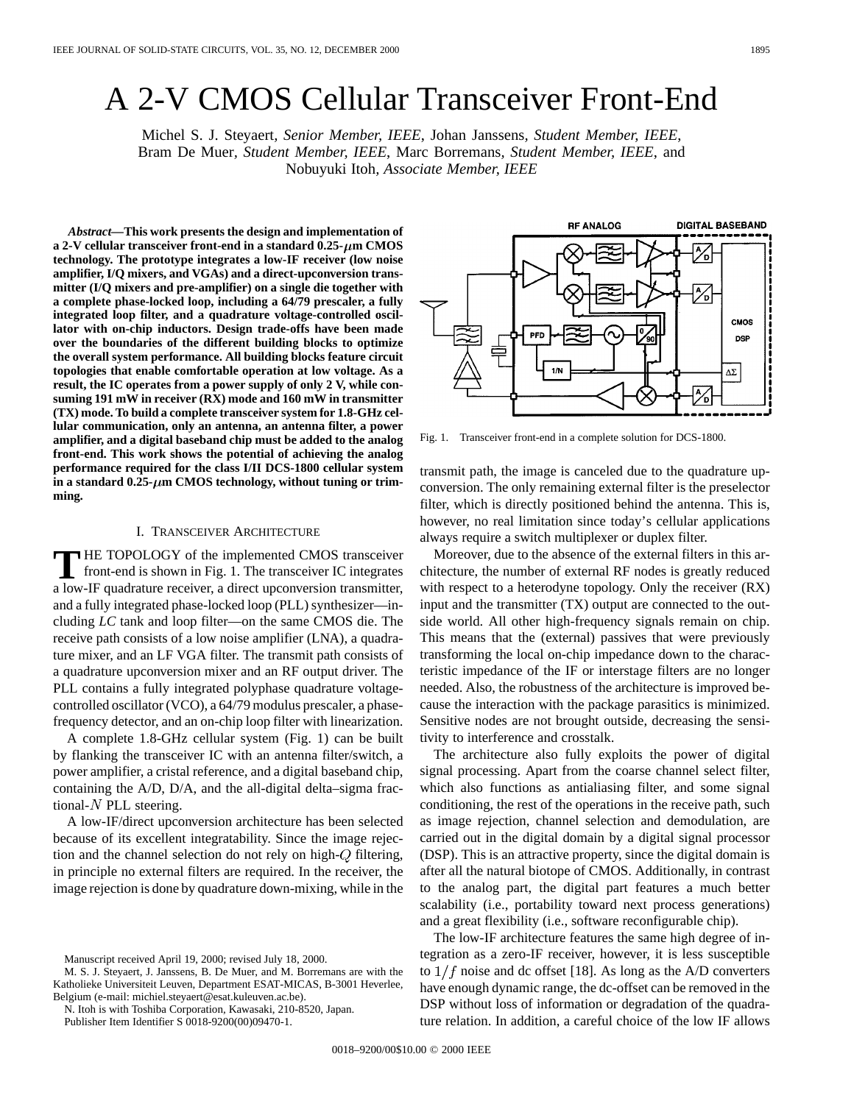# A 2-V CMOS Cellular Transceiver Front-End

Michel S. J. Steyaert*, Senior Member, IEEE*, Johan Janssens*, Student Member, IEEE*, Bram De Muer*, Student Member, IEEE*, Marc Borremans*, Student Member, IEEE*, and Nobuyuki Itoh*, Associate Member, IEEE*

*Abstract—***This work presents the design and implementation of a 2-V cellular transceiver front-end in a standard**  $0.25 - \mu m$  **CMOS technology. The prototype integrates a low-IF receiver (low noise amplifier, I/Q mixers, and VGAs) and a direct-upconversion transmitter (I/Q mixers and pre-amplifier) on a single die together with a complete phase-locked loop, including a 64/79 prescaler, a fully integrated loop filter, and a quadrature voltage-controlled oscillator with on-chip inductors. Design trade-offs have been made over the boundaries of the different building blocks to optimize the overall system performance. All building blocks feature circuit topologies that enable comfortable operation at low voltage. As a result, the IC operates from a power supply of only 2 V, while consuming 191 mW in receiver (RX) mode and 160 mW in transmitter (TX) mode. To build a complete transceiver system for 1.8-GHz cellular communication, only an antenna, an antenna filter, a power amplifier, and a digital baseband chip must be added to the analog front-end. This work shows the potential of achieving the analog performance required for the class I/II DCS-1800 cellular system** in a standard  $0.25 - \mu m$  CMOS technology, without tuning or trim**ming.**

#### I. TRANSCEIVER ARCHITECTURE

**T** HE TOPOLOGY of the implemented CMOS transceiver<br>front-end is shown in Fig. 1. The transceiver IC integrates a low-IF quadrature receiver, a direct upconversion transmitter, and a fully integrated phase-locked loop (PLL) synthesizer—including *LC* tank and loop filter—on the same CMOS die. The receive path consists of a low noise amplifier (LNA), a quadrature mixer, and an LF VGA filter. The transmit path consists of a quadrature upconversion mixer and an RF output driver. The PLL contains a fully integrated polyphase quadrature voltagecontrolled oscillator (VCO), a 64/79 modulus prescaler, a phasefrequency detector, and an on-chip loop filter with linearization.

A complete 1.8-GHz cellular system (Fig. 1) can be built by flanking the transceiver IC with an antenna filter/switch, a power amplifier, a cristal reference, and a digital baseband chip, containing the A/D, D/A, and the all-digital delta–sigma fractional- $N$  PLL steering.

A low-IF/direct upconversion architecture has been selected because of its excellent integratability. Since the image rejection and the channel selection do not rely on high- $Q$  filtering, in principle no external filters are required. In the receiver, the image rejection is done by quadrature down-mixing, while in the

N. Itoh is with Toshiba Corporation, Kawasaki, 210-8520, Japan.

**DIGITAL BASEBAND RF ANALOG** ′o CMOS PFC **DSP**  $1/N$ ΔΣ

Fig. 1. Transceiver front-end in a complete solution for DCS-1800.

transmit path, the image is canceled due to the quadrature upconversion. The only remaining external filter is the preselector filter, which is directly positioned behind the antenna. This is, however, no real limitation since today's cellular applications always require a switch multiplexer or duplex filter.

Moreover, due to the absence of the external filters in this architecture, the number of external RF nodes is greatly reduced with respect to a heterodyne topology. Only the receiver (RX) input and the transmitter (TX) output are connected to the outside world. All other high-frequency signals remain on chip. This means that the (external) passives that were previously transforming the local on-chip impedance down to the characteristic impedance of the IF or interstage filters are no longer needed. Also, the robustness of the architecture is improved because the interaction with the package parasitics is minimized. Sensitive nodes are not brought outside, decreasing the sensitivity to interference and crosstalk.

The architecture also fully exploits the power of digital signal processing. Apart from the coarse channel select filter, which also functions as antialiasing filter, and some signal conditioning, the rest of the operations in the receive path, such as image rejection, channel selection and demodulation, are carried out in the digital domain by a digital signal processor (DSP). This is an attractive property, since the digital domain is after all the natural biotope of CMOS. Additionally, in contrast to the analog part, the digital part features a much better scalability (i.e., portability toward next process generations) and a great flexibility (i.e., software reconfigurable chip).

The low-IF architecture features the same high degree of integration as a zero-IF receiver, however, it is less susceptible to  $1/f$  noise and dc offset [\[18](#page-12-0)]. As long as the A/D converters have enough dynamic range, the dc-offset can be removed in the DSP without loss of information or degradation of the quadrature relation. In addition, a careful choice of the low IF allows



Manuscript received April 19, 2000; revised July 18, 2000.

M. S. J. Steyaert, J. Janssens, B. De Muer, and M. Borremans are with the Katholieke Universiteit Leuven, Department ESAT-MICAS, B-3001 Heverlee, Belgium (e-mail: michiel.steyaert@esat.kuleuven.ac.be).

Publisher Item Identifier S 0018-9200(00)09470-1.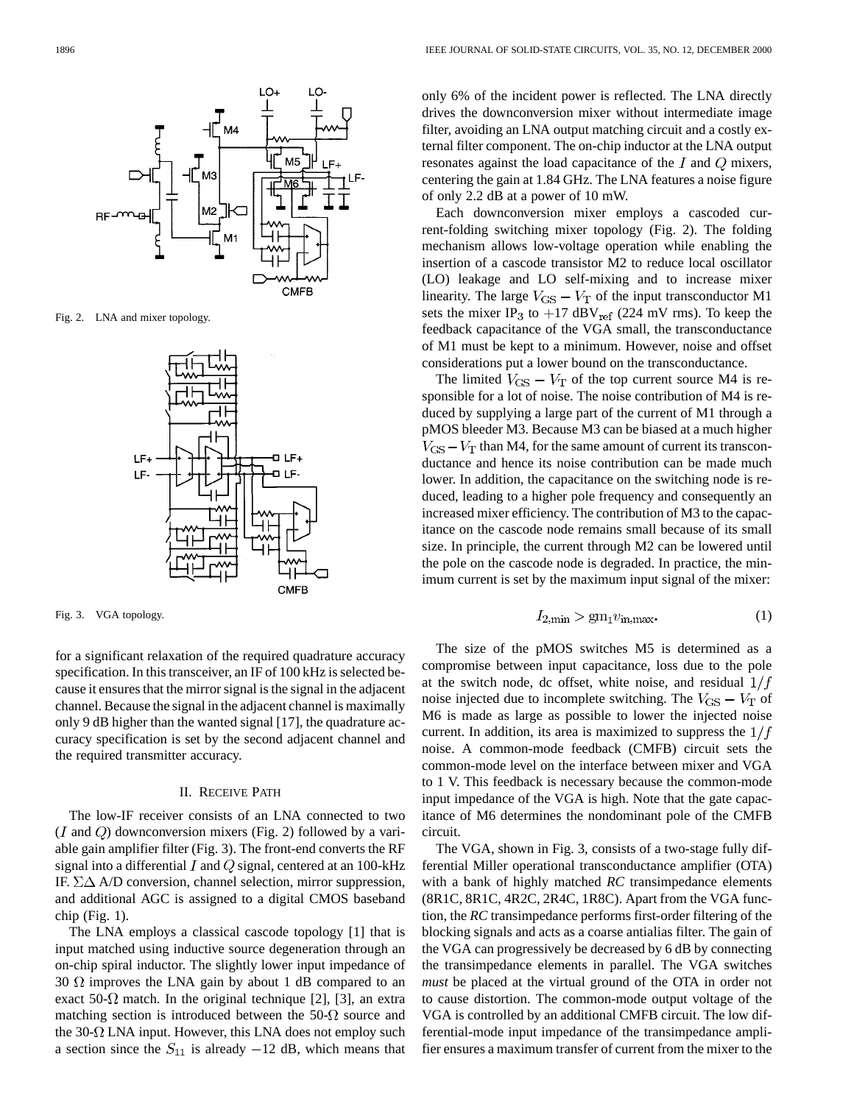Fig. 2. LNA and mixer topology.



M<sub>3</sub>

 $M<sub>2</sub>$ 

LO+

١O

 $M5$ 

**CMFB** 

Fig. 3. VGA topology.

for a significant relaxation of the required quadrature accuracy specification. In this transceiver, an IF of 100 kHz is selected because it ensures that the mirror signal is the signal in the adjacent channel. Because the signal in the adjacent channel is maximally only 9 dB higher than the wanted signal [[17\]](#page-12-0), the quadrature accuracy specification is set by the second adjacent channel and the required transmitter accuracy.

## II. RECEIVE PATH

The low-IF receiver consists of an LNA connected to two  $(I \text{ and } Q)$  downconversion mixers (Fig. 2) followed by a variable gain amplifier filter (Fig. 3). The front-end converts the RF signal into a differential  $I$  and  $Q$  signal, centered at an 100-kHz IF.  $\Sigma\Delta$  A/D conversion, channel selection, mirror suppression, and additional AGC is assigned to a digital CMOS baseband chip (Fig. 1).

The LNA employs a classical cascode topology [\[1](#page-11-0)] that is input matched using inductive source degeneration through an on-chip spiral inductor. The slightly lower input impedance of 30  $\Omega$  improves the LNA gain by about 1 dB compared to an exact 50- $\Omega$  match. In the original technique [\[2](#page-11-0)], [[3\]](#page-12-0), an extra matching section is introduced between the 50- $\Omega$  source and the 30- $\Omega$  LNA input. However, this LNA does not employ such a section since the  $S_{11}$  is already  $-12$  dB, which means that only 6% of the incident power is reflected. The LNA directly drives the downconversion mixer without intermediate image filter, avoiding an LNA output matching circuit and a costly external filter component. The on-chip inductor at the LNA output resonates against the load capacitance of the  $I$  and  $Q$  mixers, centering the gain at 1.84 GHz. The LNA features a noise figure of only 2.2 dB at a power of 10 mW.

Each downconversion mixer employs a cascoded current-folding switching mixer topology (Fig. 2). The folding mechanism allows low-voltage operation while enabling the insertion of a cascode transistor M2 to reduce local oscillator (LO) leakage and LO self-mixing and to increase mixer linearity. The large  $V_{\text{GS}} - V_{\text{T}}$  of the input transconductor M1 sets the mixer IP<sub>3</sub> to  $+17$  dBV<sub>ref</sub> (224 mV rms). To keep the feedback capacitance of the VGA small, the transconductance of M1 must be kept to a minimum. However, noise and offset considerations put a lower bound on the transconductance.

The limited  $V_{\text{GS}} - V_{\text{T}}$  of the top current source M4 is responsible for a lot of noise. The noise contribution of M4 is reduced by supplying a large part of the current of M1 through a pMOS bleeder M3. Because M3 can be biased at a much higher  $V_{\text{GS}} - V_{\text{T}}$  than M4, for the same amount of current its transconductance and hence its noise contribution can be made much lower. In addition, the capacitance on the switching node is reduced, leading to a higher pole frequency and consequently an increased mixer efficiency. The contribution of M3 to the capacitance on the cascode node remains small because of its small size. In principle, the current through M2 can be lowered until the pole on the cascode node is degraded. In practice, the minimum current is set by the maximum input signal of the mixer:

$$
I_{2,\min} > \operatorname{gm}_1 v_{\text{in,max}}.\tag{1}
$$

The size of the pMOS switches M5 is determined as a compromise between input capacitance, loss due to the pole at the switch node, dc offset, white noise, and residual  $1/f$ noise injected due to incomplete switching. The  $V_{\text{GS}} - V_{\text{T}}$  of M6 is made as large as possible to lower the injected noise current. In addition, its area is maximized to suppress the  $1/f$ noise. A common-mode feedback (CMFB) circuit sets the common-mode level on the interface between mixer and VGA to 1 V. This feedback is necessary because the common-mode input impedance of the VGA is high. Note that the gate capacitance of M6 determines the nondominant pole of the CMFB circuit.

The VGA, shown in Fig. 3, consists of a two-stage fully differential Miller operational transconductance amplifier (OTA) with a bank of highly matched *RC* transimpedance elements (8R1C, 8R1C, 4R2C, 2R4C, 1R8C). Apart from the VGA function, the *RC* transimpedance performs first-order filtering of the blocking signals and acts as a coarse antialias filter. The gain of the VGA can progressively be decreased by 6 dB by connecting the transimpedance elements in parallel. The VGA switches *must* be placed at the virtual ground of the OTA in order not to cause distortion. The common-mode output voltage of the VGA is controlled by an additional CMFB circuit. The low differential-mode input impedance of the transimpedance amplifier ensures a maximum transfer of current from the mixer to the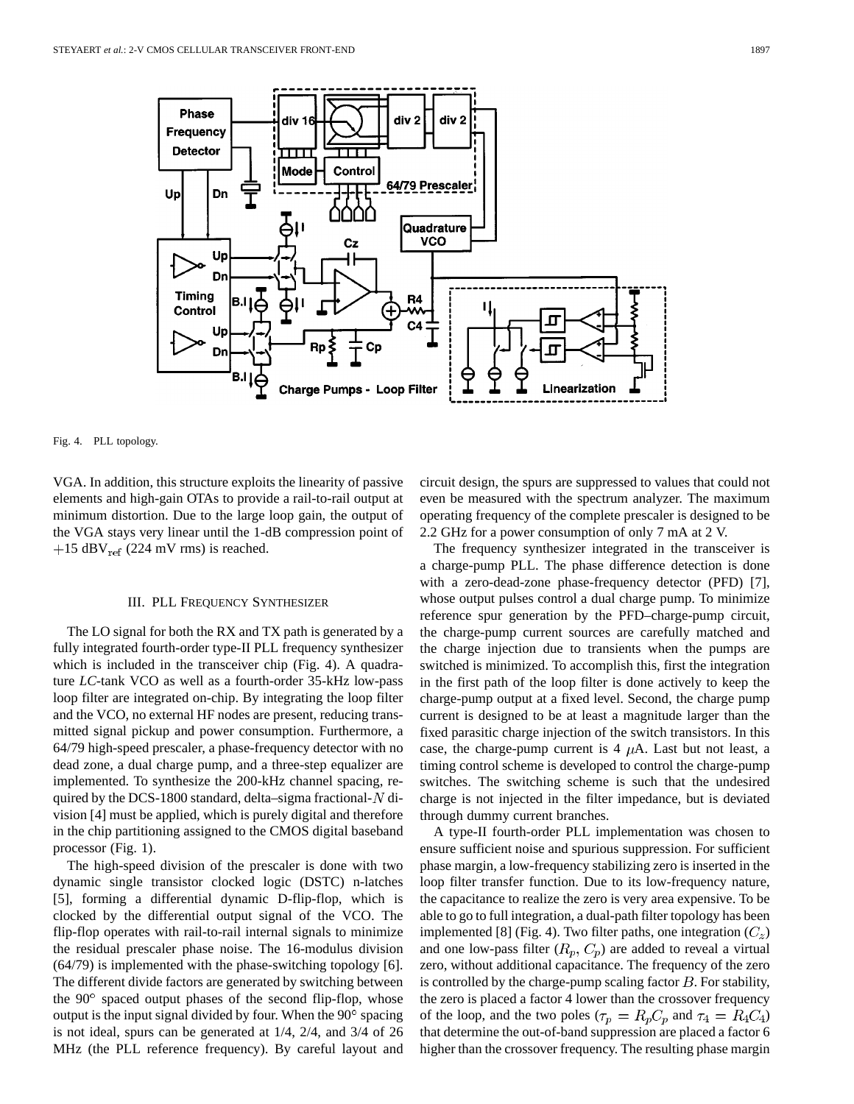

VGA. In addition, this structure exploits the linearity of passive elements and high-gain OTAs to provide a rail-to-rail output at minimum distortion. Due to the large loop gain, the output of the VGA stays very linear until the 1-dB compression point of  $+15$  dBV $_{ref}$  (224 mV rms) is reached.

#### III. PLL FREQUENCY SYNTHESIZER

The LO signal for both the RX and TX path is generated by a fully integrated fourth-order type-II PLL frequency synthesizer which is included in the transceiver chip (Fig. 4). A quadrature *LC*-tank VCO as well as a fourth-order 35-kHz low-pass loop filter are integrated on-chip. By integrating the loop filter and the VCO, no external HF nodes are present, reducing transmitted signal pickup and power consumption. Furthermore, a 64/79 high-speed prescaler, a phase-frequency detector with no dead zone, a dual charge pump, and a three-step equalizer are implemented. To synthesize the 200-kHz channel spacing, required by the DCS-1800 standard, delta–sigma fractional- $N$  division [[4\]](#page-12-0) must be applied, which is purely digital and therefore in the chip partitioning assigned to the CMOS digital baseband processor (Fig. 1).

The high-speed division of the prescaler is done with two dynamic single transistor clocked logic (DSTC) n-latches [\[5](#page-12-0)], forming a differential dynamic D-flip-flop, which is clocked by the differential output signal of the VCO. The flip-flop operates with rail-to-rail internal signals to minimize the residual prescaler phase noise. The 16-modulus division (64/79) is implemented with the phase-switching topology [\[6](#page-12-0)]. The different divide factors are generated by switching between the  $90^{\circ}$  spaced output phases of the second flip-flop, whose output is the input signal divided by four. When the  $90^\circ$  spacing is not ideal, spurs can be generated at 1/4, 2/4, and 3/4 of 26 MHz (the PLL reference frequency). By careful layout and circuit design, the spurs are suppressed to values that could not even be measured with the spectrum analyzer. The maximum operating frequency of the complete prescaler is designed to be 2.2 GHz for a power consumption of only 7 mA at 2 V.

The frequency synthesizer integrated in the transceiver is a charge-pump PLL. The phase difference detection is done with a zero-dead-zone phase-frequency detector (PFD) [\[7](#page-12-0)], whose output pulses control a dual charge pump. To minimize reference spur generation by the PFD–charge-pump circuit, the charge-pump current sources are carefully matched and the charge injection due to transients when the pumps are switched is minimized. To accomplish this, first the integration in the first path of the loop filter is done actively to keep the charge-pump output at a fixed level. Second, the charge pump current is designed to be at least a magnitude larger than the fixed parasitic charge injection of the switch transistors. In this case, the charge-pump current is  $4 \mu A$ . Last but not least, a timing control scheme is developed to control the charge-pump switches. The switching scheme is such that the undesired charge is not injected in the filter impedance, but is deviated through dummy current branches.

A type-II fourth-order PLL implementation was chosen to ensure sufficient noise and spurious suppression. For sufficient phase margin, a low-frequency stabilizing zero is inserted in the loop filter transfer function. Due to its low-frequency nature, the capacitance to realize the zero is very area expensive. To be able to go to full integration, a dual-path filter topology has been implemented [[8\]](#page-12-0) (Fig. 4). Two filter paths, one integration  $(C_z)$ and one low-pass filter  $(R_p, C_p)$  are added to reveal a virtual zero, without additional capacitance. The frequency of the zero is controlled by the charge-pump scaling factor  $B$ . For stability, the zero is placed a factor 4 lower than the crossover frequency of the loop, and the two poles ( $\tau_p = R_p C_p$  and  $\tau_4 = R_4 C_4$ ) that determine the out-of-band suppression are placed a factor 6 higher than the crossover frequency. The resulting phase margin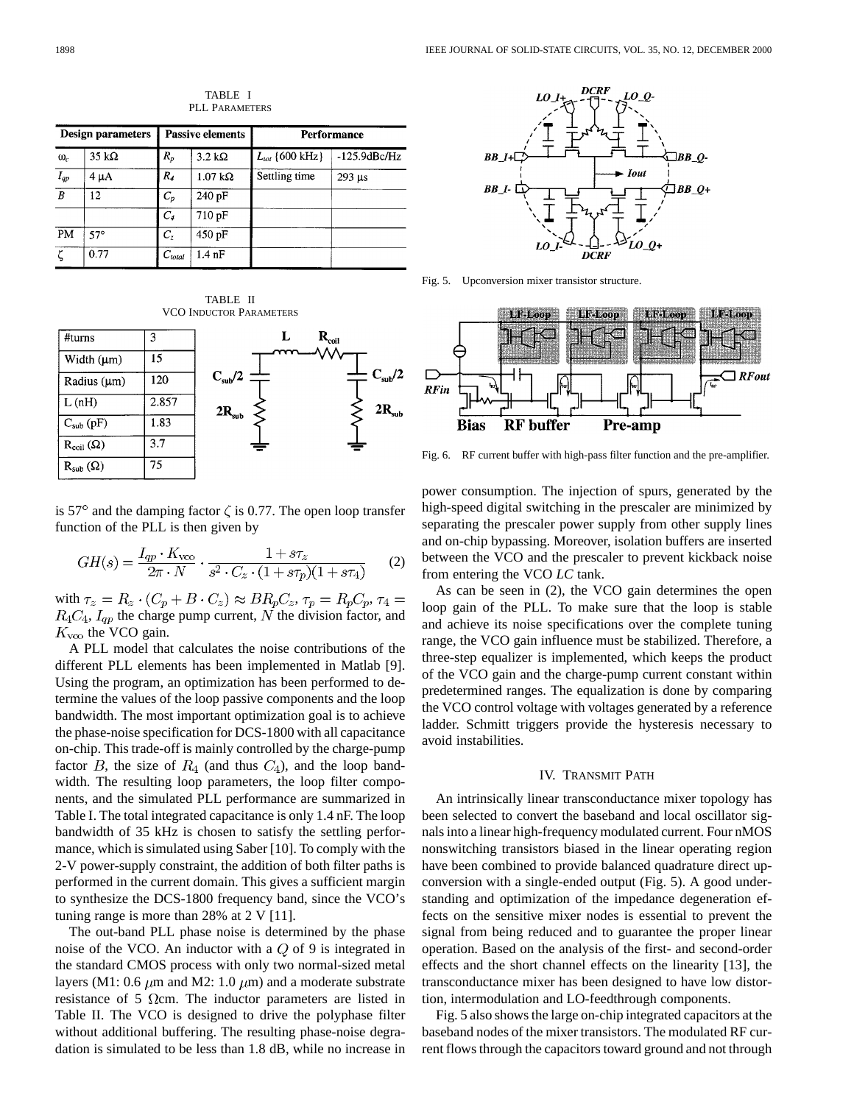| <b>Design parameters</b> |                      | <b>Passive elements</b> |                        | Performance         |                           |  |
|--------------------------|----------------------|-------------------------|------------------------|---------------------|---------------------------|--|
| $\omega_c$               | $35 \text{ k}\Omega$ | $R_p$                   | $3.2 k\Omega$          | $L_{tot}$ {600 kHz} | $-125.9dBe/Hz$            |  |
| $I_{qp}$                 | $4 \mu A$            | $R_4$                   | $1.07 \text{ k}\Omega$ | Settling time       | $293 \text{ }\mu\text{s}$ |  |
| $\overline{B}$           | 12                   | $C_p$                   | 240 pF                 |                     |                           |  |
|                          |                      | $C_4$                   | 710 pF                 |                     |                           |  |
| PM                       | $57^\circ$           | $C_{\rm z}$             | 450 pF                 |                     |                           |  |
| ζ                        | 0.77                 | $C_{total}$             | $1.4 \text{ nF}$       |                     |                           |  |

TABLE I PLL PARAMETERS

TABLE II VCO INDUCTOR PARAMETERS



is 57° and the damping factor  $\zeta$  is 0.77. The open loop transfer function of the PLL is then given by

$$
GH(s) = \frac{I_{qp} \cdot K_{\text{vco}}}{2\pi \cdot N} \cdot \frac{1 + s\tau_z}{s^2 \cdot C_z \cdot (1 + s\tau_p)(1 + s\tau_4)}\tag{2}
$$

with  $\tau_z = R_z \cdot (C_p + B \cdot C_z) \approx BR_p C_z$ ,  $\tau_p = R_p C_p$ ,  $\tau_4 =$  $R_4C_4$ ,  $I_{qp}$  the charge pump current, N the division factor, and  $K_{\text{vco}}$  the VCO gain.

A PLL model that calculates the noise contributions of the different PLL elements has been implemented in Matlab [[9\]](#page-12-0). Using the program, an optimization has been performed to determine the values of the loop passive components and the loop bandwidth. The most important optimization goal is to achieve the phase-noise specification for DCS-1800 with all capacitance on-chip. This trade-off is mainly controlled by the charge-pump factor  $B$ , the size of  $R_4$  (and thus  $C_4$ ), and the loop bandwidth. The resulting loop parameters, the loop filter components, and the simulated PLL performance are summarized in Table I. The total integrated capacitance is only 1.4 nF. The loop bandwidth of 35 kHz is chosen to satisfy the settling performance, which is simulated using Saber [\[10](#page-12-0)]. To comply with the 2-V power-supply constraint, the addition of both filter paths is performed in the current domain. This gives a sufficient margin to synthesize the DCS-1800 frequency band, since the VCO's tuning range is more than 28% at 2 V [[11\]](#page-12-0).

The out-band PLL phase noise is determined by the phase noise of the VCO. An inductor with a  $Q$  of 9 is integrated in the standard CMOS process with only two normal-sized metal layers (M1: 0.6  $\mu$ m and M2: 1.0  $\mu$ m) and a moderate substrate resistance of 5  $\Omega$ cm. The inductor parameters are listed in Table II. The VCO is designed to drive the polyphase filter without additional buffering. The resulting phase-noise degradation is simulated to be less than 1.8 dB, while no increase in



Fig. 5. Upconversion mixer transistor structure.



Fig. 6. RF current buffer with high-pass filter function and the pre-amplifier.

power consumption. The injection of spurs, generated by the high-speed digital switching in the prescaler are minimized by separating the prescaler power supply from other supply lines and on-chip bypassing. Moreover, isolation buffers are inserted between the VCO and the prescaler to prevent kickback noise from entering the VCO *LC* tank.

As can be seen in (2), the VCO gain determines the open loop gain of the PLL. To make sure that the loop is stable and achieve its noise specifications over the complete tuning range, the VCO gain influence must be stabilized. Therefore, a three-step equalizer is implemented, which keeps the product of the VCO gain and the charge-pump current constant within predetermined ranges. The equalization is done by comparing the VCO control voltage with voltages generated by a reference ladder. Schmitt triggers provide the hysteresis necessary to avoid instabilities.

### IV. TRANSMIT PATH

An intrinsically linear transconductance mixer topology has been selected to convert the baseband and local oscillator signals into a linear high-frequency modulated current. Four nMOS nonswitching transistors biased in the linear operating region have been combined to provide balanced quadrature direct upconversion with a single-ended output (Fig. 5). A good understanding and optimization of the impedance degeneration effects on the sensitive mixer nodes is essential to prevent the signal from being reduced and to guarantee the proper linear operation. Based on the analysis of the first- and second-order effects and the short channel effects on the linearity [\[13](#page-12-0)], the transconductance mixer has been designed to have low distortion, intermodulation and LO-feedthrough components.

Fig. 5 also shows the large on-chip integrated capacitors at the baseband nodes of the mixer transistors. The modulated RF current flows through the capacitors toward ground and not through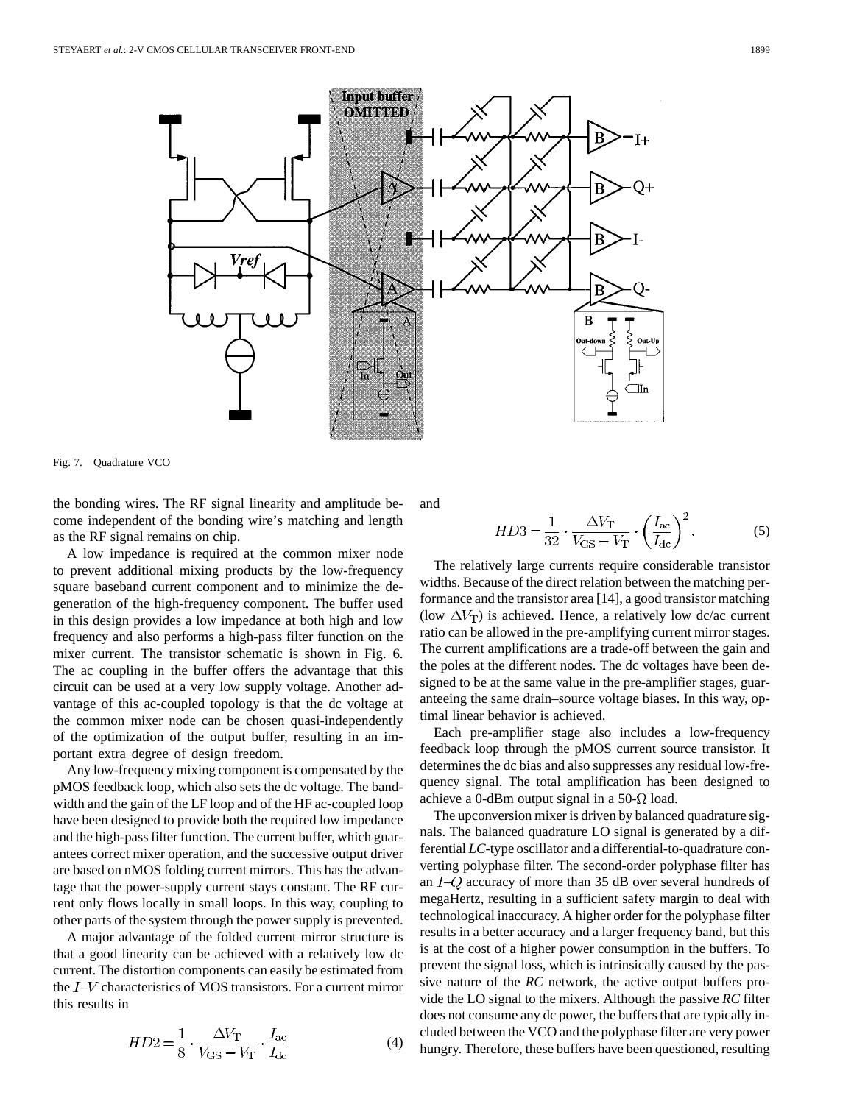

and

Fig. 7. Quadrature VCO

the bonding wires. The RF signal linearity and amplitude become independent of the bonding wire's matching and length as the RF signal remains on chip.

A low impedance is required at the common mixer node to prevent additional mixing products by the low-frequency square baseband current component and to minimize the degeneration of the high-frequency component. The buffer used in this design provides a low impedance at both high and low frequency and also performs a high-pass filter function on the mixer current. The transistor schematic is shown in Fig. 6. The ac coupling in the buffer offers the advantage that this circuit can be used at a very low supply voltage. Another advantage of this ac-coupled topology is that the dc voltage at the common mixer node can be chosen quasi-independently of the optimization of the output buffer, resulting in an important extra degree of design freedom.

Any low-frequency mixing component is compensated by the pMOS feedback loop, which also sets the dc voltage. The bandwidth and the gain of the LF loop and of the HF ac-coupled loop have been designed to provide both the required low impedance and the high-pass filter function. The current buffer, which guarantees correct mixer operation, and the successive output driver are based on nMOS folding current mirrors. This has the advantage that the power-supply current stays constant. The RF current only flows locally in small loops. In this way, coupling to other parts of the system through the power supply is prevented.

A major advantage of the folded current mirror structure is that a good linearity can be achieved with a relatively low dc current. The distortion components can easily be estimated from the  $I-V$  characteristics of MOS transistors. For a current mirror this results in

$$
HD2 = \frac{1}{8} \cdot \frac{\Delta V_{\rm T}}{V_{\rm GS} - V_{\rm T}} \cdot \frac{I_{\rm ac}}{I_{\rm dc}} \tag{4}
$$

$$
HD3 = \frac{1}{32} \cdot \frac{\Delta V_{\rm T}}{V_{\rm GS} - V_{\rm T}} \cdot \left(\frac{I_{\rm ac}}{I_{\rm dc}}\right)^2.
$$
 (5)

The relatively large currents require considerable transistor widths. Because of the direct relation between the matching performance and the transistor area [[14\]](#page-12-0), a good transistor matching (low  $\Delta V_{\rm T}$ ) is achieved. Hence, a relatively low dc/ac current ratio can be allowed in the pre-amplifying current mirror stages. The current amplifications are a trade-off between the gain and the poles at the different nodes. The dc voltages have been designed to be at the same value in the pre-amplifier stages, guaranteeing the same drain–source voltage biases. In this way, optimal linear behavior is achieved.

Each pre-amplifier stage also includes a low-frequency feedback loop through the pMOS current source transistor. It determines the dc bias and also suppresses any residual low-frequency signal. The total amplification has been designed to achieve a 0-dBm output signal in a 50- $\Omega$  load.

The upconversion mixer is driven by balanced quadrature signals. The balanced quadrature LO signal is generated by a differential *LC*-type oscillator and a differential-to-quadrature converting polyphase filter. The second-order polyphase filter has an  $I-Q$  accuracy of more than 35 dB over several hundreds of megaHertz, resulting in a sufficient safety margin to deal with technological inaccuracy. A higher order for the polyphase filter results in a better accuracy and a larger frequency band, but this is at the cost of a higher power consumption in the buffers. To prevent the signal loss, which is intrinsically caused by the passive nature of the *RC* network, the active output buffers provide the LO signal to the mixers. Although the passive *RC* filter does not consume any dc power, the buffers that are typically included between the VCO and the polyphase filter are very power hungry. Therefore, these buffers have been questioned, resulting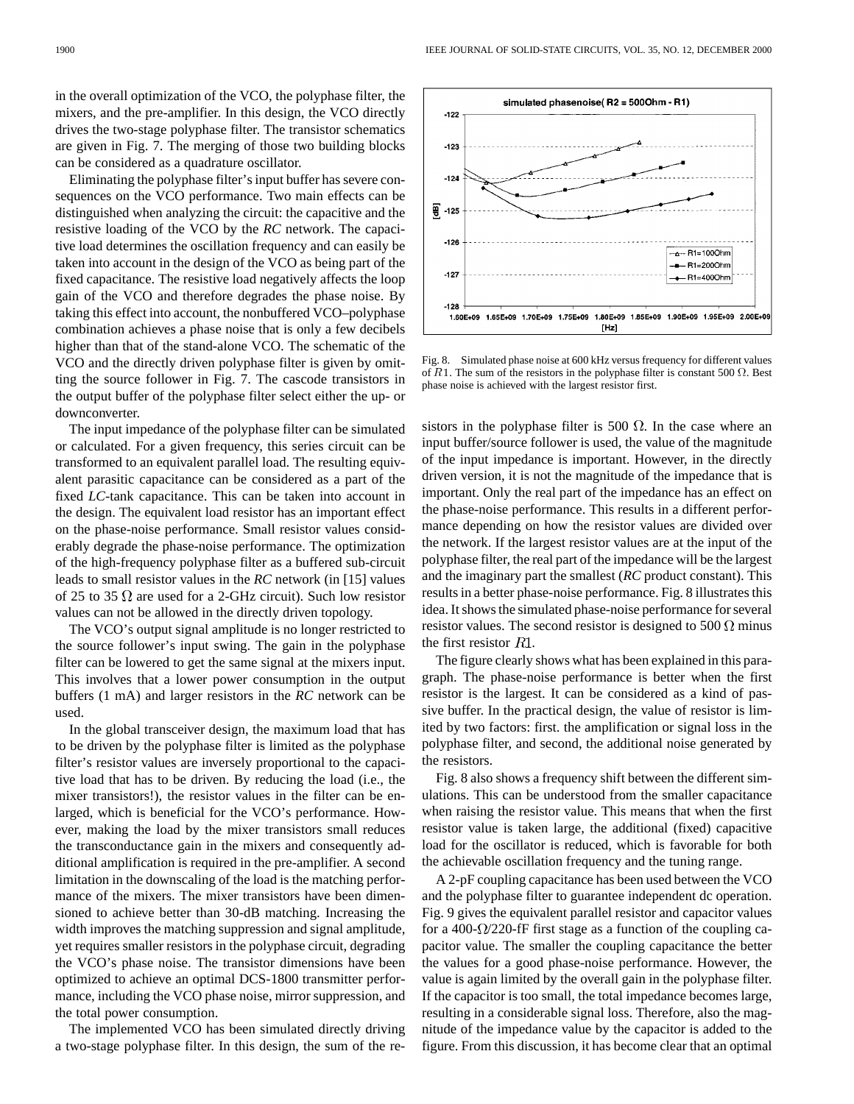in the overall optimization of the VCO, the polyphase filter, the mixers, and the pre-amplifier. In this design, the VCO directly drives the two-stage polyphase filter. The transistor schematics are given in Fig. 7. The merging of those two building blocks can be considered as a quadrature oscillator.

Eliminating the polyphase filter's input buffer has severe consequences on the VCO performance. Two main effects can be distinguished when analyzing the circuit: the capacitive and the resistive loading of the VCO by the *RC* network. The capacitive load determines the oscillation frequency and can easily be taken into account in the design of the VCO as being part of the fixed capacitance. The resistive load negatively affects the loop gain of the VCO and therefore degrades the phase noise. By taking this effect into account, the nonbuffered VCO–polyphase combination achieves a phase noise that is only a few decibels higher than that of the stand-alone VCO. The schematic of the VCO and the directly driven polyphase filter is given by omitting the source follower in Fig. 7. The cascode transistors in the output buffer of the polyphase filter select either the up- or downconverter.

The input impedance of the polyphase filter can be simulated or calculated. For a given frequency, this series circuit can be transformed to an equivalent parallel load. The resulting equivalent parasitic capacitance can be considered as a part of the fixed *LC*-tank capacitance. This can be taken into account in the design. The equivalent load resistor has an important effect on the phase-noise performance. Small resistor values considerably degrade the phase-noise performance. The optimization of the high-frequency polyphase filter as a buffered sub-circuit leads to small resistor values in the *RC* network (in [[15\]](#page-12-0) values of 25 to 35  $\Omega$  are used for a 2-GHz circuit). Such low resistor values can not be allowed in the directly driven topology.

The VCO's output signal amplitude is no longer restricted to the source follower's input swing. The gain in the polyphase filter can be lowered to get the same signal at the mixers input. This involves that a lower power consumption in the output buffers (1 mA) and larger resistors in the *RC* network can be used.

In the global transceiver design, the maximum load that has to be driven by the polyphase filter is limited as the polyphase filter's resistor values are inversely proportional to the capacitive load that has to be driven. By reducing the load (i.e., the mixer transistors!), the resistor values in the filter can be enlarged, which is beneficial for the VCO's performance. However, making the load by the mixer transistors small reduces the transconductance gain in the mixers and consequently additional amplification is required in the pre-amplifier. A second limitation in the downscaling of the load is the matching performance of the mixers. The mixer transistors have been dimensioned to achieve better than 30-dB matching. Increasing the width improves the matching suppression and signal amplitude, yet requires smaller resistors in the polyphase circuit, degrading the VCO's phase noise. The transistor dimensions have been optimized to achieve an optimal DCS-1800 transmitter performance, including the VCO phase noise, mirror suppression, and the total power consumption.

The implemented VCO has been simulated directly driving a two-stage polyphase filter. In this design, the sum of the re-



Fig. 8. Simulated phase noise at 600 kHz versus frequency for different values of  $\overline{R}$ 1. The sum of the resistors in the polyphase filter is constant 500  $\Omega$ . Best phase noise is achieved with the largest resistor first.

sistors in the polyphase filter is 500  $\Omega$ . In the case where an input buffer/source follower is used, the value of the magnitude of the input impedance is important. However, in the directly driven version, it is not the magnitude of the impedance that is important. Only the real part of the impedance has an effect on the phase-noise performance. This results in a different performance depending on how the resistor values are divided over the network. If the largest resistor values are at the input of the polyphase filter, the real part of the impedance will be the largest and the imaginary part the smallest (*RC* product constant). This results in a better phase-noise performance. Fig. 8 illustrates this idea. It shows the simulated phase-noise performance for several resistor values. The second resistor is designed to 500  $\Omega$  minus the first resistor  $R1$ .

The figure clearly shows what has been explained in this paragraph. The phase-noise performance is better when the first resistor is the largest. It can be considered as a kind of passive buffer. In the practical design, the value of resistor is limited by two factors: first. the amplification or signal loss in the polyphase filter, and second, the additional noise generated by the resistors.

Fig. 8 also shows a frequency shift between the different simulations. This can be understood from the smaller capacitance when raising the resistor value. This means that when the first resistor value is taken large, the additional (fixed) capacitive load for the oscillator is reduced, which is favorable for both the achievable oscillation frequency and the tuning range.

A 2-pF coupling capacitance has been used between the VCO and the polyphase filter to guarantee independent dc operation. Fig. 9 gives the equivalent parallel resistor and capacitor values for a 400- $\Omega$ /220-fF first stage as a function of the coupling capacitor value. The smaller the coupling capacitance the better the values for a good phase-noise performance. However, the value is again limited by the overall gain in the polyphase filter. If the capacitor is too small, the total impedance becomes large, resulting in a considerable signal loss. Therefore, also the magnitude of the impedance value by the capacitor is added to the figure. From this discussion, it has become clear that an optimal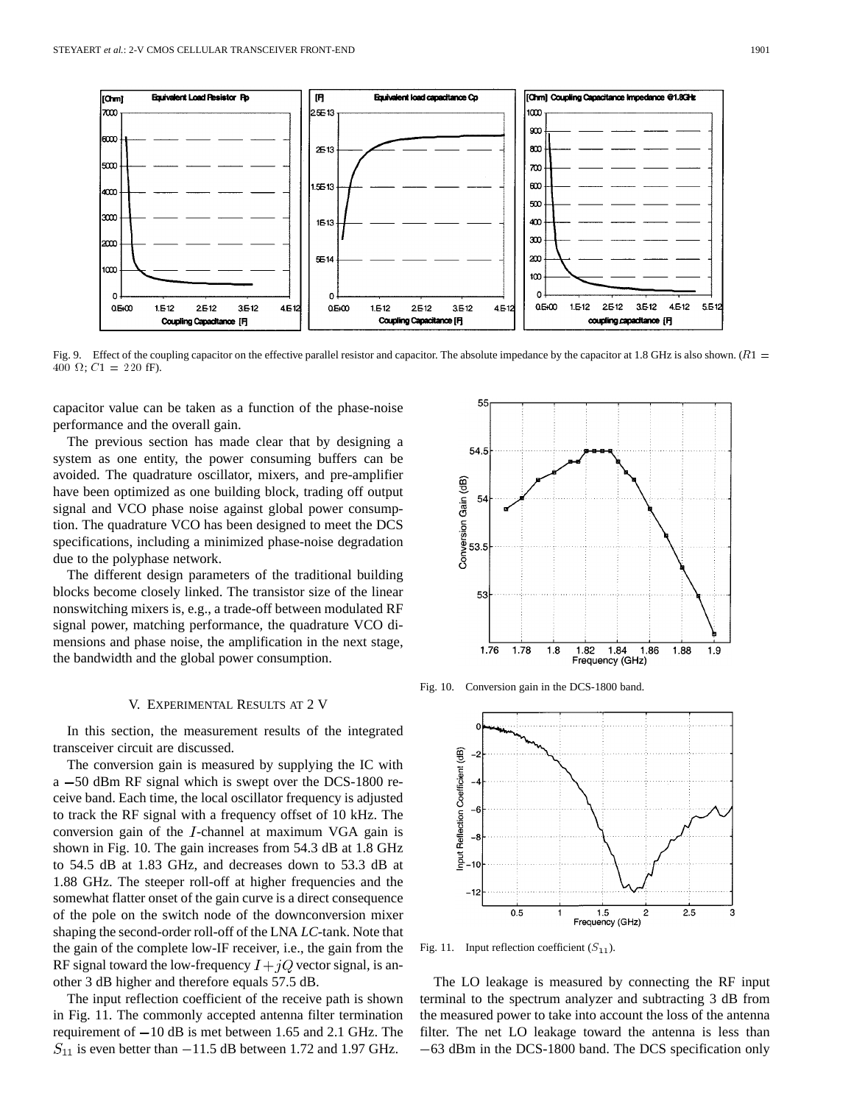

Fig. 9. Effect of the coupling capacitor on the effective parallel resistor and capacitor. The absolute impedance by the capacitor at 1.8 GHz is also shown. ( $R1 =$  $400 \Omega$ ;  $C1 = 220$  fF).

capacitor value can be taken as a function of the phase-noise performance and the overall gain.

The previous section has made clear that by designing a system as one entity, the power consuming buffers can be avoided. The quadrature oscillator, mixers, and pre-amplifier have been optimized as one building block, trading off output signal and VCO phase noise against global power consumption. The quadrature VCO has been designed to meet the DCS specifications, including a minimized phase-noise degradation due to the polyphase network.

The different design parameters of the traditional building blocks become closely linked. The transistor size of the linear nonswitching mixers is, e.g., a trade-off between modulated RF signal power, matching performance, the quadrature VCO dimensions and phase noise, the amplification in the next stage, the bandwidth and the global power consumption.

#### V. EXPERIMENTAL RESULTS AT 2 V

In this section, the measurement results of the integrated transceiver circuit are discussed.

The conversion gain is measured by supplying the IC with  $a - 50$  dBm RF signal which is swept over the DCS-1800 receive band. Each time, the local oscillator frequency is adjusted to track the RF signal with a frequency offset of 10 kHz. The conversion gain of the  $I$ -channel at maximum VGA gain is shown in Fig. 10. The gain increases from 54.3 dB at 1.8 GHz to 54.5 dB at 1.83 GHz, and decreases down to 53.3 dB at 1.88 GHz. The steeper roll-off at higher frequencies and the somewhat flatter onset of the gain curve is a direct consequence of the pole on the switch node of the downconversion mixer shaping the second-order roll-off of the LNA *LC*-tank. Note that the gain of the complete low-IF receiver, i.e., the gain from the RF signal toward the low-frequency  $I + jQ$  vector signal, is another 3 dB higher and therefore equals 57.5 dB.

The input reflection coefficient of the receive path is shown in Fig. 11. The commonly accepted antenna filter termination requirement of  $-10$  dB is met between 1.65 and 2.1 GHz. The  $S_{11}$  is even better than  $-11.5$  dB between 1.72 and 1.97 GHz.



Fig. 10. Conversion gain in the DCS-1800 band.



Fig. 11. Input reflection coefficient  $(S_{11})$ .

The LO leakage is measured by connecting the RF input terminal to the spectrum analyzer and subtracting 3 dB from the measured power to take into account the loss of the antenna filter. The net LO leakage toward the antenna is less than 63 dBm in the DCS-1800 band. The DCS specification only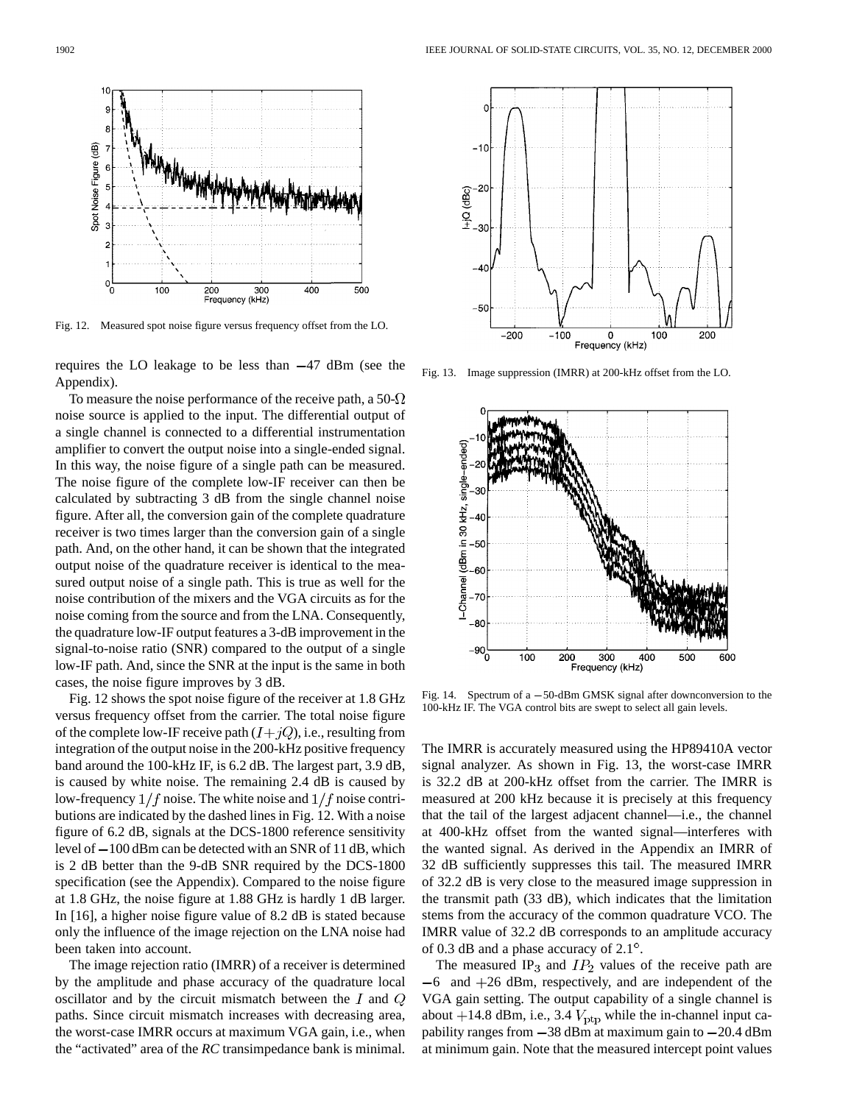

Fig. 12. Measured spot noise figure versus frequency offset from the LO.

requires the LO leakage to be less than  $-47$  dBm (see the Appendix).

To measure the noise performance of the receive path, a 50- $\Omega$ noise source is applied to the input. The differential output of a single channel is connected to a differential instrumentation amplifier to convert the output noise into a single-ended signal. In this way, the noise figure of a single path can be measured. The noise figure of the complete low-IF receiver can then be calculated by subtracting 3 dB from the single channel noise figure. After all, the conversion gain of the complete quadrature receiver is two times larger than the conversion gain of a single path. And, on the other hand, it can be shown that the integrated output noise of the quadrature receiver is identical to the measured output noise of a single path. This is true as well for the noise contribution of the mixers and the VGA circuits as for the noise coming from the source and from the LNA. Consequently, the quadrature low-IF output features a 3-dB improvement in the signal-to-noise ratio (SNR) compared to the output of a single low-IF path. And, since the SNR at the input is the same in both cases, the noise figure improves by 3 dB.

Fig. 12 shows the spot noise figure of the receiver at 1.8 GHz versus frequency offset from the carrier. The total noise figure of the complete low-IF receive path  $(I+jQ)$ , i.e., resulting from integration of the output noise in the 200-kHz positive frequency band around the 100-kHz IF, is 6.2 dB. The largest part, 3.9 dB, is caused by white noise. The remaining 2.4 dB is caused by low-frequency  $1/f$  noise. The white noise and  $1/f$  noise contributions are indicated by the dashed lines in Fig. 12. With a noise figure of 6.2 dB, signals at the DCS-1800 reference sensitivity level of  $-100$  dBm can be detected with an SNR of 11 dB, which is 2 dB better than the 9-dB SNR required by the DCS-1800 specification (see the Appendix). Compared to the noise figure at 1.8 GHz, the noise figure at 1.88 GHz is hardly 1 dB larger. In [\[16](#page-12-0)], a higher noise figure value of 8.2 dB is stated because only the influence of the image rejection on the LNA noise had been taken into account.

The image rejection ratio (IMRR) of a receiver is determined by the amplitude and phase accuracy of the quadrature local oscillator and by the circuit mismatch between the  $I$  and  $Q$ paths. Since circuit mismatch increases with decreasing area, the worst-case IMRR occurs at maximum VGA gain, i.e., when the "activated" area of the *RC* transimpedance bank is minimal.



Fig. 13. Image suppression (IMRR) at 200-kHz offset from the LO.



100-kHz IF. The VGA control bits are swept to select all gain levels.

The IMRR is accurately measured using the HP89410A vector signal analyzer. As shown in Fig. 13, the worst-case IMRR is 32.2 dB at 200-kHz offset from the carrier. The IMRR is measured at 200 kHz because it is precisely at this frequency that the tail of the largest adjacent channel—i.e., the channel at 400-kHz offset from the wanted signal—interferes with the wanted signal. As derived in the Appendix an IMRR of 32 dB sufficiently suppresses this tail. The measured IMRR of 32.2 dB is very close to the measured image suppression in the transmit path (33 dB), which indicates that the limitation stems from the accuracy of the common quadrature VCO. The IMRR value of 32.2 dB corresponds to an amplitude accuracy of 0.3 dB and a phase accuracy of  $2.1^\circ$ .

The measured IP<sub>3</sub> and  $IP_2$  values of the receive path are  $-6$  and  $+26$  dBm, respectively, and are independent of the VGA gain setting. The output capability of a single channel is about  $+14.8$  dBm, i.e., 3.4  $V_{\text{ptp}}$  while the in-channel input capability ranges from  $-38$  dBm at maximum gain to  $-20.4$  dBm at minimum gain. Note that the measured intercept point values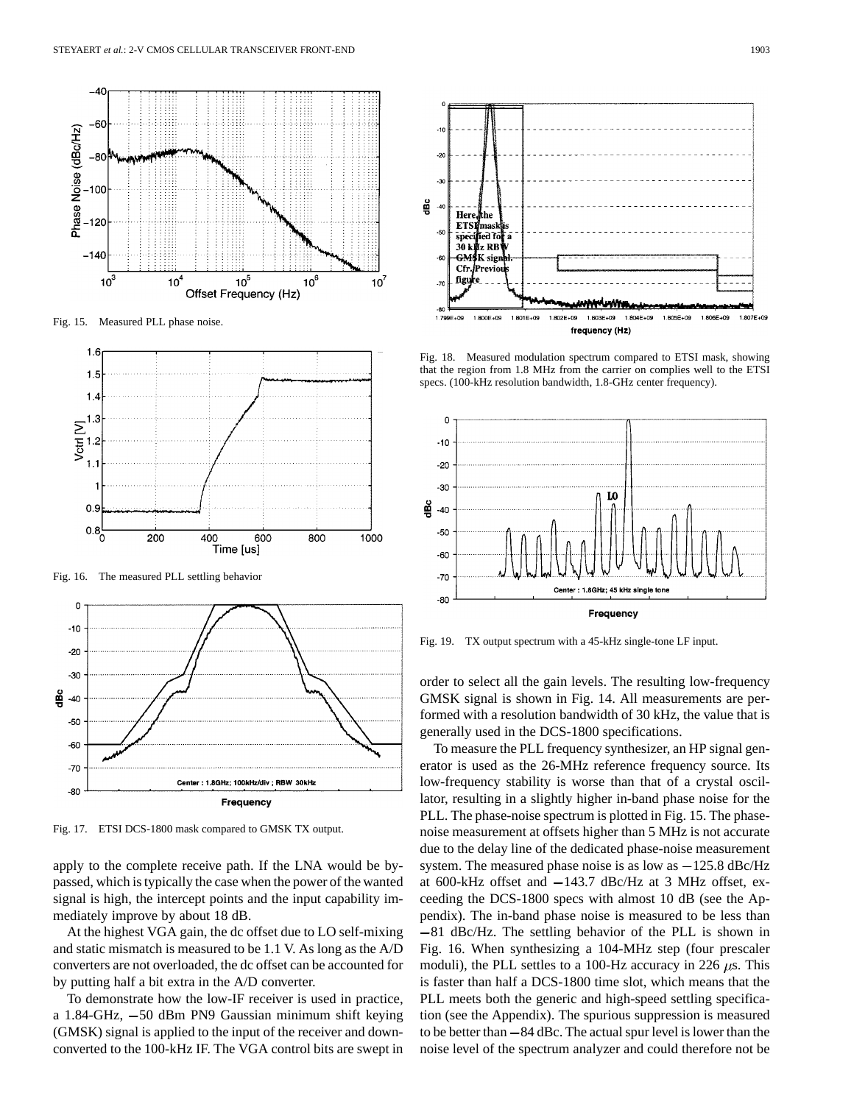

Fig. 15. Measured PLL phase noise.



Fig. 16. The measured PLL settling behavior



Fig. 17. ETSI DCS-1800 mask compared to GMSK TX output.

apply to the complete receive path. If the LNA would be bypassed, which is typically the case when the power of the wanted signal is high, the intercept points and the input capability immediately improve by about 18 dB.

At the highest VGA gain, the dc offset due to LO self-mixing and static mismatch is measured to be 1.1 V. As long as the A/D converters are not overloaded, the dc offset can be accounted for by putting half a bit extra in the A/D converter.

To demonstrate how the low-IF receiver is used in practice, a 1.84-GHz, -50 dBm PN9 Gaussian minimum shift keying (GMSK) signal is applied to the input of the receiver and downconverted to the 100-kHz IF. The VGA control bits are swept in



Fig. 18. Measured modulation spectrum compared to ETSI mask, showing that the region from 1.8 MHz from the carrier on complies well to the ETSI specs. (100-kHz resolution bandwidth, 1.8-GHz center frequency).



Fig. 19. TX output spectrum with a 45-kHz single-tone LF input.

order to select all the gain levels. The resulting low-frequency GMSK signal is shown in Fig. 14. All measurements are performed with a resolution bandwidth of 30 kHz, the value that is generally used in the DCS-1800 specifications.

To measure the PLL frequency synthesizer, an HP signal generator is used as the 26-MHz reference frequency source. Its low-frequency stability is worse than that of a crystal oscillator, resulting in a slightly higher in-band phase noise for the PLL. The phase-noise spectrum is plotted in Fig. 15. The phasenoise measurement at offsets higher than 5 MHz is not accurate due to the delay line of the dedicated phase-noise measurement system. The measured phase noise is as low as  $-125.8$  dBc/Hz at 600-kHz offset and  $-143.7$  dBc/Hz at 3 MHz offset, exceeding the DCS-1800 specs with almost 10 dB (see the Appendix). The in-band phase noise is measured to be less than  $-81$  dBc/Hz. The settling behavior of the PLL is shown in Fig. 16. When synthesizing a 104-MHz step (four prescaler moduli), the PLL settles to a 100-Hz accuracy in 226  $\mu$ s. This is faster than half a DCS-1800 time slot, which means that the PLL meets both the generic and high-speed settling specification (see the Appendix). The spurious suppression is measured to be better than  $-84$  dBc. The actual spur level is lower than the noise level of the spectrum analyzer and could therefore not be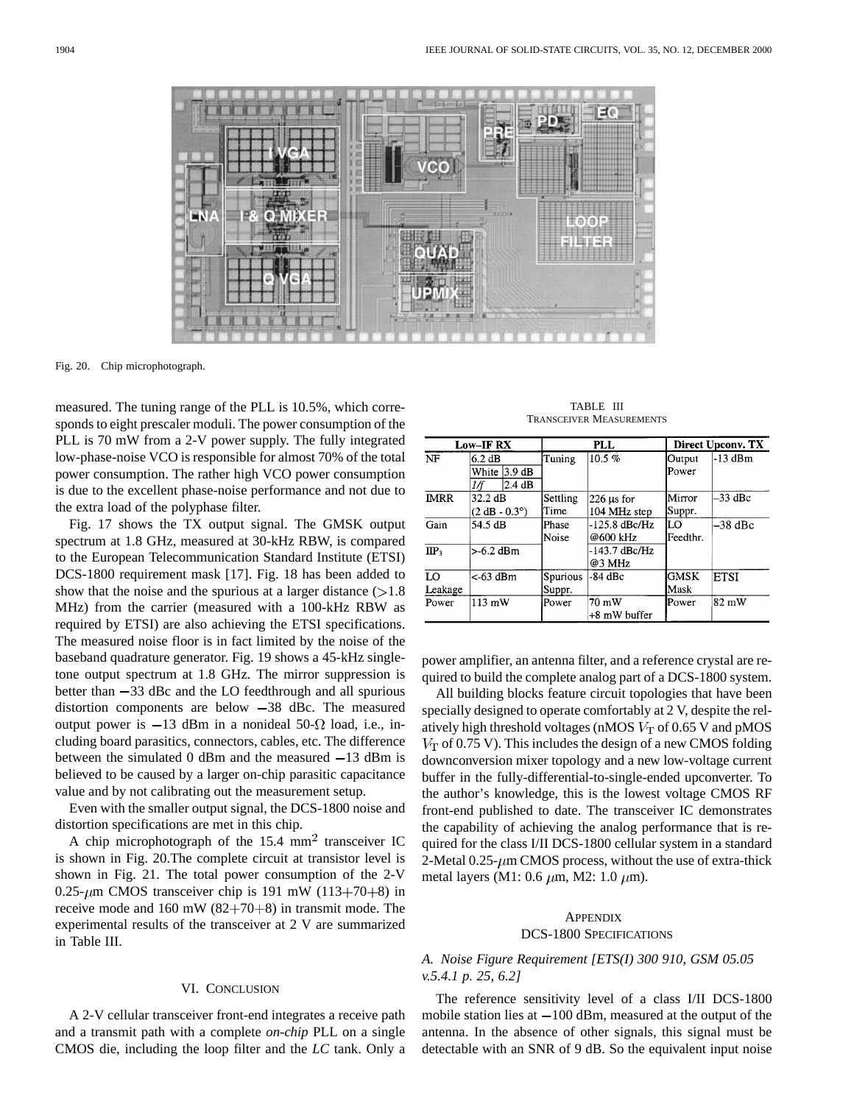

Fig. 20. Chip microphotograph.

measured. The tuning range of the PLL is 10.5%, which corresponds to eight prescaler moduli. The power consumption of the PLL is 70 mW from a 2-V power supply. The fully integrated low-phase-noise VCO is responsible for almost 70% of the total power consumption. The rather high VCO power consumption is due to the excellent phase-noise performance and not due to the extra load of the polyphase filter.

Fig. 17 shows the TX output signal. The GMSK output spectrum at 1.8 GHz, measured at 30-kHz RBW, is compared to the European Telecommunication Standard Institute (ETSI) DCS-1800 requirement mask [\[17\]](#page-12-0). Fig. 18 has been added to show that the noise and the spurious at a larger distance  $(>1.8)$ MHz) from the carrier (measured with a 100-kHz RBW as required by ETSI) are also achieving the ETSI specifications. The measured noise floor is in fact limited by the noise of the baseband quadrature generator. Fig. 19 shows a 45-kHz singletone output spectrum at 1.8 GHz. The mirror suppression is better than  $-33$  dBc and the LO feedthrough and all spurious distortion components are below  $-38$  dBc. The measured output power is  $-13$  dBm in a nonideal 50- $\Omega$  load, i.e., including board parasitics, connectors, cables, etc. The difference between the simulated  $0$  dBm and the measured  $-13$  dBm is believed to be caused by a larger on-chip parasitic capacitance value and by not calibrating out the measurement setup.

Even with the smaller output signal, the DCS-1800 noise and distortion specifications are met in this chip.

A chip microphotograph of the  $15.4 \text{ mm}^2$  transceiver IC is shown in Fig. 20.The complete circuit at transistor level is shown in Fig. 21. The total power consumption of the 2-V 0.25- $\mu$ m CMOS transceiver chip is 191 mW (113+70+8) in receive mode and 160 mW  $(82+70+8)$  in transmit mode. The experimental results of the transceiver at 2 V are summarized in Table III.

## VI. CONCLUSION

A 2-V cellular transceiver front-end integrates a receive path and a transmit path with a complete *on-chip* PLL on a single CMOS die, including the loop filter and the *LC* tank. Only a

TABLE III TRANSCEIVER MEASUREMENTS

| Low–IF RX        |                        |                 |          | PLL                    | Direct Upconv. TX |             |
|------------------|------------------------|-----------------|----------|------------------------|-------------------|-------------|
| <b>NF</b>        | 6.2 dB                 |                 | Tuning   | 10.5%                  | Output            | $-13$ dBm   |
|                  |                        | White $ 3.9$ dB |          |                        | Power             |             |
|                  | 1/f                    | 2.4 dB          |          |                        |                   |             |
| <b>IMRR</b>      | $32.2 \text{ dB}$      |                 | Settling | $ 226 \:\rm \mu s$ for | Mirror            | $-33$ dBc   |
|                  | $(2 dB - 0.3^{\circ})$ |                 | Time     | 104 MHz step           | Suppr.            |             |
| Gain             | 54.5 dB                |                 | Phase    | $-125.8$ dBc/Hz        | LΟ                | $-38$ dBc   |
|                  |                        |                 | Noise    | @600 kHz               | Feedthr.          |             |
| IIP <sub>2</sub> | $>6.2$ dBm             |                 |          | -143.7 dBc/Hz          |                   |             |
|                  |                        |                 |          | @3 MHz                 |                   |             |
| $\Omega$         | <-63 dBm               |                 | Spurious | -84 dBc                | <b>GMSK</b>       | <b>ETSI</b> |
| Leakage          |                        |                 | Suppr.   |                        | Mask              |             |
| Power            | 113 mW                 |                 | Power    | 70 mW                  | Power             | 82 mW       |
|                  |                        |                 |          | $+8$ mW buffer         |                   |             |

power amplifier, an antenna filter, and a reference crystal are required to build the complete analog part of a DCS-1800 system.

All building blocks feature circuit topologies that have been specially designed to operate comfortably at 2 V, despite the relatively high threshold voltages (nMOS  $V_T$  of 0.65 V and pMOS  $V_T$  of 0.75 V). This includes the design of a new CMOS folding downconversion mixer topology and a new low-voltage current buffer in the fully-differential-to-single-ended upconverter. To the author's knowledge, this is the lowest voltage CMOS RF front-end published to date. The transceiver IC demonstrates the capability of achieving the analog performance that is required for the class I/II DCS-1800 cellular system in a standard 2-Metal  $0.25-\mu$ m CMOS process, without the use of extra-thick metal layers (M1: 0.6  $\mu$ m, M2: 1.0  $\mu$ m).

## **APPENDIX** DCS-1800 SPECIFICATIONS

# *A. Noise Figure Requirement [ETS(I) 300 910, GSM 05.05 v.5.4.1 p. 25, 6.2]*

The reference sensitivity level of a class I/II DCS-1800 mobile station lies at  $-100$  dBm, measured at the output of the antenna. In the absence of other signals, this signal must be detectable with an SNR of 9 dB. So the equivalent input noise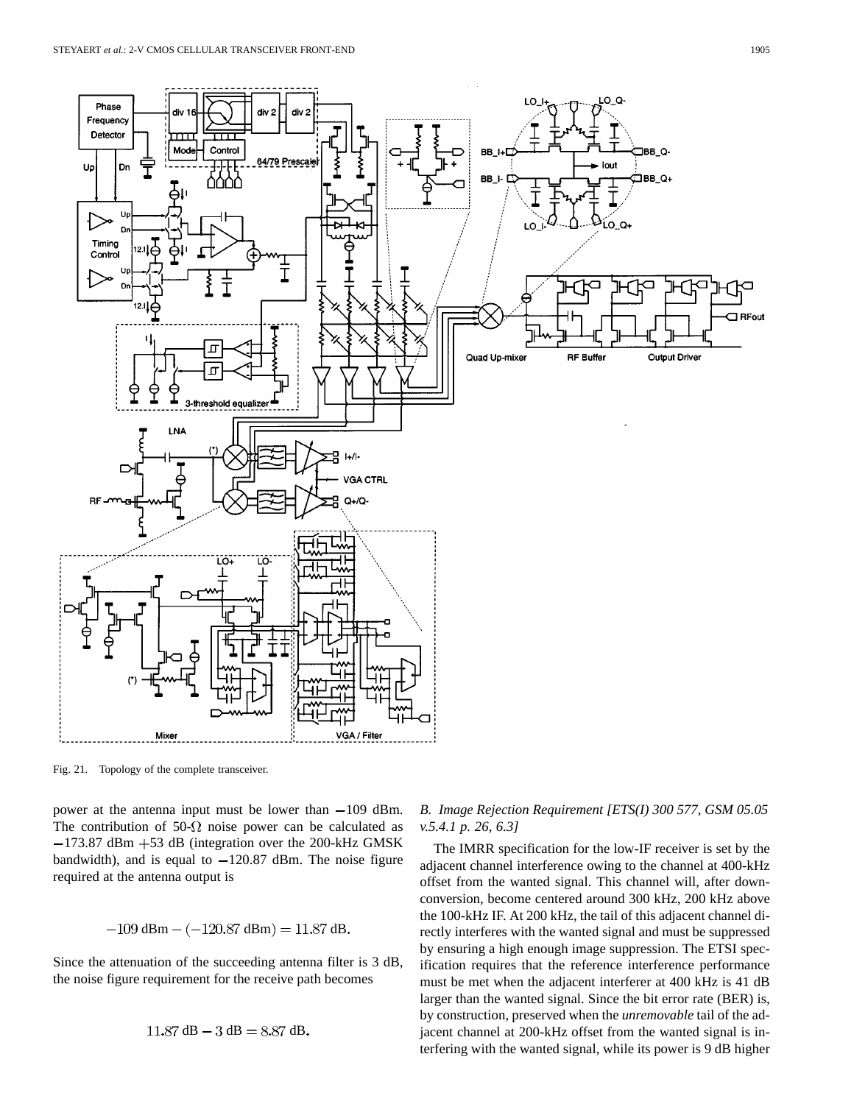

Fig. 21. Topology of the complete transceiver.

power at the antenna input must be lower than  $-109$  dBm. The contribution of 50- $\Omega$  noise power can be calculated as  $-173.87$  dBm  $+53$  dB (integration over the 200-kHz GMSK bandwidth), and is equal to  $-120.87$  dBm. The noise figure required at the antenna output is

$$
-109 \text{ dBm} - (-120.87 \text{ dBm}) = 11.87 \text{ dB}.
$$

Since the attenuation of the succeeding antenna filter is 3 dB, the noise figure requirement for the receive path becomes

$$
11.87 \text{ dB} - 3 \text{ dB} = 8.87 \text{ dB}.
$$

# *B. Image Rejection Requirement [ETS(I) 300 577, GSM 05.05 v.5.4.1 p. 26, 6.3]*

The IMRR specification for the low-IF receiver is set by the adjacent channel interference owing to the channel at 400-kHz offset from the wanted signal. This channel will, after downconversion, become centered around 300 kHz, 200 kHz above the 100-kHz IF. At 200 kHz, the tail of this adjacent channel directly interferes with the wanted signal and must be suppressed by ensuring a high enough image suppression. The ETSI specification requires that the reference interference performance must be met when the adjacent interferer at 400 kHz is 41 dB larger than the wanted signal. Since the bit error rate (BER) is, by construction, preserved when the *unremovable* tail of the adjacent channel at 200-kHz offset from the wanted signal is interfering with the wanted signal, while its power is 9 dB higher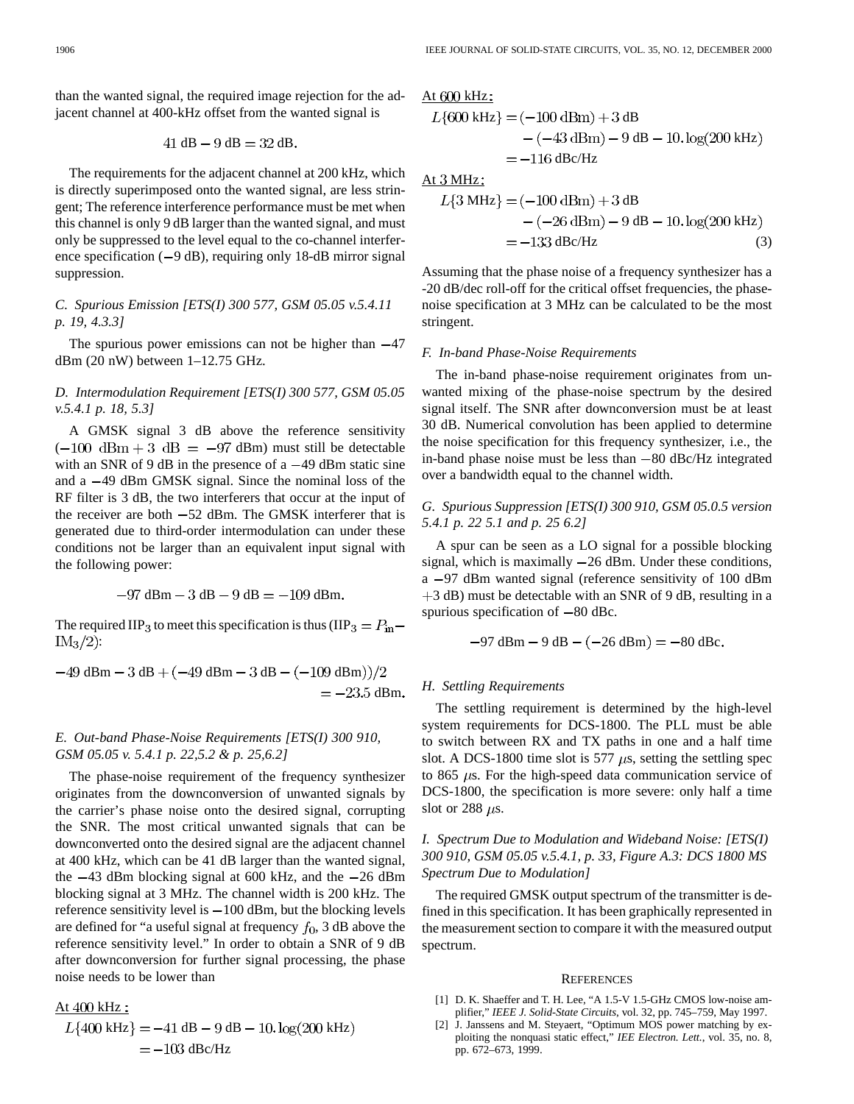<span id="page-11-0"></span>than the wanted signal, the required image rejection for the adjacent channel at 400-kHz offset from the wanted signal is

$$
41 \, \text{dB} - 9 \, \text{dB} = 32 \, \text{dB}.
$$

The requirements for the adjacent channel at 200 kHz, which is directly superimposed onto the wanted signal, are less stringent; The reference interference performance must be met when this channel is only 9 dB larger than the wanted signal, and must only be suppressed to the level equal to the co-channel interference specification  $(-9 \text{ dB})$ , requiring only 18-dB mirror signal suppression.

# *C. Spurious Emission [ETS(I) 300 577, GSM 05.05 v.5.4.11 p. 19, 4.3.3]*

The spurious power emissions can not be higher than  $-47$ dBm (20 nW) between 1–12.75 GHz.

## *D. Intermodulation Requirement [ETS(I) 300 577, GSM 05.05 v.5.4.1 p. 18, 5.3]*

A GMSK signal 3 dB above the reference sensitivity  $(-100 \text{ dBm} + 3 \text{ dB} = -97 \text{ dBm})$  must still be detectable with an SNR of 9 dB in the presence of a  $-49$  dBm static sine and a  $-49$  dBm GMSK signal. Since the nominal loss of the RF filter is 3 dB, the two interferers that occur at the input of the receiver are both  $-52$  dBm. The GMSK interferer that is generated due to third-order intermodulation can under these conditions not be larger than an equivalent input signal with the following power:

$$
-97 \text{ dBm} - 3 \text{ dB} - 9 \text{ dB} = -109 \text{ dBm}.
$$

The required IIP<sub>3</sub> to meet this specification is thus (IIP<sub>3</sub> =  $P_{\text{in}}$  –  $IM<sub>3</sub>/2$ :

$$
-49 \text{ dBm} - 3 \text{ dB} + (-49 \text{ dBm} - 3 \text{ dB} - (-109 \text{ dBm}))/2
$$
  
= -23.5 dBm.

# *E. Out-band Phase-Noise Requirements [ETS(I) 300 910, GSM 05.05 v. 5.4.1 p. 22,5.2 & p. 25,6.2]*

The phase-noise requirement of the frequency synthesizer originates from the downconversion of unwanted signals by the carrier's phase noise onto the desired signal, corrupting the SNR. The most critical unwanted signals that can be downconverted onto the desired signal are the adjacent channel at 400 kHz, which can be 41 dB larger than the wanted signal, the  $-43$  dBm blocking signal at 600 kHz, and the  $-26$  dBm blocking signal at 3 MHz. The channel width is 200 kHz. The reference sensitivity level is  $-100$  dBm, but the blocking levels are defined for "a useful signal at frequency  $f_0$ , 3 dB above the reference sensitivity level." In order to obtain a SNR of 9 dB after downconversion for further signal processing, the phase noise needs to be lower than

$$
\frac{\text{At }400 \text{ kHz:}}{L\{400 \text{ kHz}\}} = -41 \text{ dB} - 9 \text{ dB} - 10. \log(200 \text{ kHz})
$$

$$
= -103 \text{ dBc/Hz}
$$

At  $600$  kHz:

$$
L{600 \text{ kHz}} = (-100 \text{ dBm}) + 3 \text{ dB}
$$
  
- (-43 dBm) – 9 dB – 10. log(200 kHz)  
= -116 dBc/Hz

$$
\begin{aligned} \frac{\text{At 3 MHz:}}{L\{3 \text{ MHz}\}} &= (-100 \text{ dBm}) + 3 \text{ dB} \\ &- (-26 \text{ dBm}) - 9 \text{ dB} - 10 \text{ log}(200 \text{ kHz}) \\ &= -133 \text{ dBc/Hz} \end{aligned} \tag{3}
$$

Assuming that the phase noise of a frequency synthesizer has a -20 dB/dec roll-off for the critical offset frequencies, the phasenoise specification at 3 MHz can be calculated to be the most stringent.

## *F. In-band Phase-Noise Requirements*

The in-band phase-noise requirement originates from unwanted mixing of the phase-noise spectrum by the desired signal itself. The SNR after downconversion must be at least 30 dB. Numerical convolution has been applied to determine the noise specification for this frequency synthesizer, i.e., the in-band phase noise must be less than  $-80$  dBc/Hz integrated over a bandwidth equal to the channel width.

# *G. Spurious Suppression [ETS(I) 300 910, GSM 05.0.5 version 5.4.1 p. 22 5.1 and p. 25 6.2]*

A spur can be seen as a LO signal for a possible blocking signal, which is maximally  $-26$  dBm. Under these conditions, a  $-97$  dBm wanted signal (reference sensitivity of 100 dBm  $+3$  dB) must be detectable with an SNR of 9 dB, resulting in a spurious specification of  $-80$  dBc.

$$
-97 \text{ dBm} - 9 \text{ dB} - (-26 \text{ dBm}) = -80 \text{ dBc}
$$

#### *H. Settling Requirements*

The settling requirement is determined by the high-level system requirements for DCS-1800. The PLL must be able to switch between RX and TX paths in one and a half time slot. A DCS-1800 time slot is 577  $\mu$ s, setting the settling spec to 865  $\mu$ s. For the high-speed data communication service of DCS-1800, the specification is more severe: only half a time slot or 288  $\mu$ s.

# *I. Spectrum Due to Modulation and Wideband Noise: [ETS(I) 300 910, GSM 05.05 v.5.4.1, p. 33, Figure A.3: DCS 1800 MS Spectrum Due to Modulation]*

The required GMSK output spectrum of the transmitter is defined in this specification. It has been graphically represented in the measurement section to compare it with the measured output spectrum.

#### **REFERENCES**

- [1] D. K. Shaeffer and T. H. Lee, "A 1.5-V 1.5-GHz CMOS low-noise amplifier," *IEEE J. Solid-State Circuits*, vol. 32, pp. 745–759, May 1997.
- [2] J. Janssens and M. Steyaert, "Optimum MOS power matching by exploiting the nonquasi static effect," *IEE Electron. Lett.*, vol. 35, no. 8, pp. 672–673, 1999.